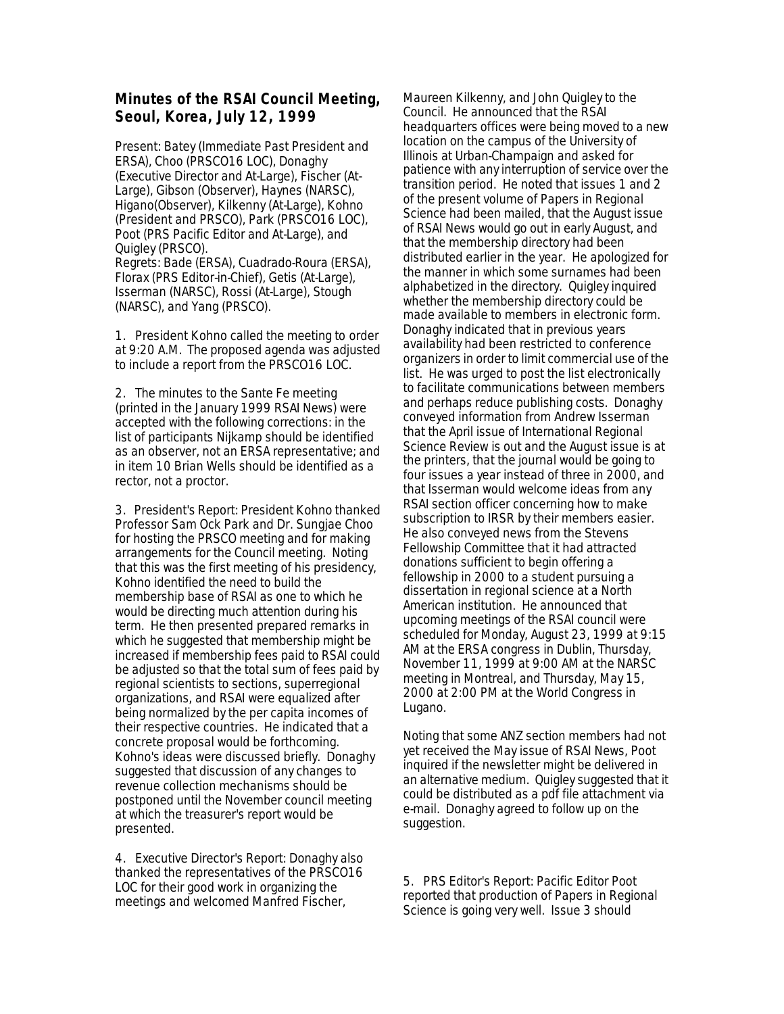## **Minutes of the RSAI Council Meeting, Seoul, Korea, July 12, 1999**

Present: Batey (Immediate Past President and ERSA), Choo (PRSCO16 LOC), Donaghy (Executive Director and At-Large), Fischer (At-Large), Gibson (Observer), Haynes (NARSC), Higano(Observer), Kilkenny (At-Large), Kohno (President and PRSCO), Park (PRSCO16 LOC), Poot (PRS Pacific Editor and At-Large), and Quigley (PRSCO).

Regrets: Bade (ERSA), Cuadrado-Roura (ERSA), Florax (PRS Editor-in-Chief), Getis (At-Large), Isserman (NARSC), Rossi (At-Large), Stough (NARSC), and Yang (PRSCO).

1. President Kohno called the meeting to order at 9:20 A.M. The proposed agenda was adjusted to include a report from the PRSCO16 LOC.

2. The minutes to the Sante Fe meeting (printed in the January 1999 RSAI News) were accepted with the following corrections: in the list of participants Nijkamp should be identified as an observer, not an ERSA representative; and in item 10 Brian Wells should be identified as a rector, not a proctor.

3. President's Report: President Kohno thanked Professor Sam Ock Park and Dr. Sungjae Choo for hosting the PRSCO meeting and for making arrangements for the Council meeting. Noting that this was the first meeting of his presidency, Kohno identified the need to build the membership base of RSAI as one to which he would be directing much attention during his term. He then presented prepared remarks in which he suggested that membership might be increased if membership fees paid to RSAI could be adjusted so that the total sum of fees paid by regional scientists to sections, superregional organizations, and RSAI were equalized after being normalized by the per capita incomes of their respective countries. He indicated that a concrete proposal would be forthcoming. Kohno's ideas were discussed briefly. Donaghy suggested that discussion of any changes to revenue collection mechanisms should be postponed until the November council meeting at which the treasurer's report would be presented.

4. Executive Director's Report: Donaghy also thanked the representatives of the PRSCO16 LOC for their good work in organizing the meetings and welcomed Manfred Fischer,

Maureen Kilkenny, and John Quigley to the Council. He announced that the RSAI headquarters offices were being moved to a new location on the campus of the University of Illinois at Urban-Champaign and asked for patience with any interruption of service over the transition period. He noted that issues 1 and 2 of the present volume of Papers in Regional Science had been mailed, that the August issue of RSAI News would go out in early August, and that the membership directory had been distributed earlier in the year. He apologized for the manner in which some surnames had been alphabetized in the directory. Quigley inquired whether the membership directory could be made available to members in electronic form. Donaghy indicated that in previous years availability had been restricted to conference organizers in order to limit commercial use of the list. He was urged to post the list electronically to facilitate communications between members and perhaps reduce publishing costs. Donaghy conveyed information from Andrew Isserman that the April issue of International Regional Science Review is out and the August issue is at the printers, that the journal would be going to four issues a year instead of three in 2000, and that Isserman would welcome ideas from any RSAI section officer concerning how to make subscription to IRSR by their members easier. He also conveyed news from the Stevens Fellowship Committee that it had attracted donations sufficient to begin offering a fellowship in 2000 to a student pursuing a dissertation in regional science at a North American institution. He announced that upcoming meetings of the RSAI council were scheduled for Monday, August 23, 1999 at 9:15 AM at the ERSA congress in Dublin, Thursday, November 11, 1999 at 9:00 AM at the NARSC meeting in Montreal, and Thursday, May 15, 2000 at 2:00 PM at the World Congress in Lugano.

Noting that some ANZ section members had not yet received the May issue of RSAI News, Poot inquired if the newsletter might be delivered in an alternative medium. Quigley suggested that it could be distributed as a pdf file attachment via e-mail. Donaghy agreed to follow up on the suggestion.

5. PRS Editor's Report: Pacific Editor Poot reported that production of Papers in Regional Science is going very well. Issue 3 should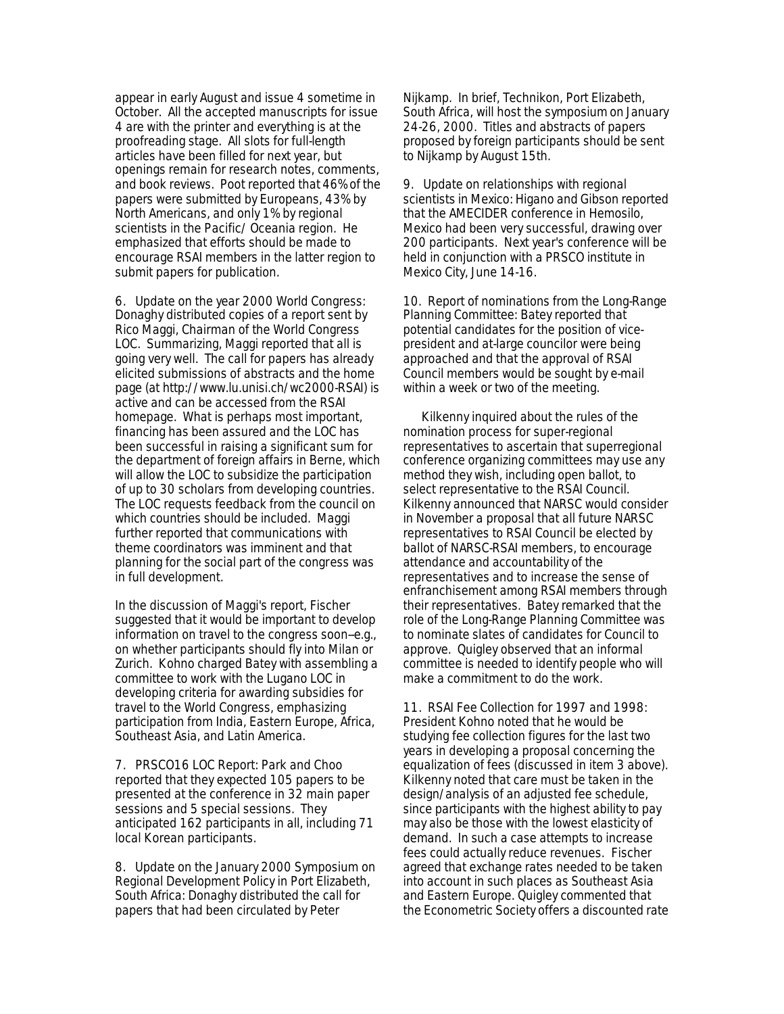appear in early August and issue 4 sometime in October. All the accepted manuscripts for issue 4 are with the printer and everything is at the proofreading stage. All slots for full-length articles have been filled for next year, but openings remain for research notes, comments, and book reviews. Poot reported that 46% of the papers were submitted by Europeans, 43% by North Americans, and only 1% by regional scientists in the Pacific/ Oceania region. He emphasized that efforts should be made to encourage RSAI members in the latter region to submit papers for publication.

6. Update on the year 2000 World Congress: Donaghy distributed copies of a report sent by Rico Maggi, Chairman of the World Congress LOC. Summarizing, Maggi reported that all is going very well. The call for papers has already elicited submissions of abstracts and the home page (at http://www.lu.unisi.ch/wc2000-RSAI) is active and can be accessed from the RSAI homepage. What is perhaps most important, financing has been assured and the LOC has been successful in raising a significant sum for the department of foreign affairs in Berne, which will allow the LOC to subsidize the participation of up to 30 scholars from developing countries. The LOC requests feedback from the council on which countries should be included. Maggi further reported that communications with theme coordinators was imminent and that planning for the social part of the congress was in full development.

In the discussion of Maggi's report, Fischer suggested that it would be important to develop information on travel to the congress soon--e.g., on whether participants should fly into Milan or Zurich. Kohno charged Batey with assembling a committee to work with the Lugano LOC in developing criteria for awarding subsidies for travel to the World Congress, emphasizing participation from India, Eastern Europe, Africa, Southeast Asia, and Latin America.

7. PRSCO16 LOC Report: Park and Choo reported that they expected 105 papers to be presented at the conference in 32 main paper sessions and 5 special sessions. They anticipated 162 participants in all, including 71 local Korean participants.

8. Update on the January 2000 Symposium on Regional Development Policy in Port Elizabeth, South Africa: Donaghy distributed the call for papers that had been circulated by Peter

Nijkamp. In brief, Technikon, Port Elizabeth, South Africa, will host the symposium on January 24-26, 2000. Titles and abstracts of papers proposed by foreign participants should be sent to Nijkamp by August 15th.

9. Update on relationships with regional scientists in Mexico: Higano and Gibson reported that the AMECIDER conference in Hemosilo, Mexico had been very successful, drawing over 200 participants. Next year's conference will be held in conjunction with a PRSCO institute in Mexico City, June 14-16.

10. Report of nominations from the Long-Range Planning Committee: Batey reported that potential candidates for the position of vicepresident and at-large councilor were being approached and that the approval of RSAI Council members would be sought by e-mail within a week or two of the meeting.

 Kilkenny inquired about the rules of the nomination process for super-regional representatives to ascertain that superregional conference organizing committees may use any method they wish, including open ballot, to select representative to the RSAI Council. Kilkenny announced that NARSC would consider in November a proposal that all future NARSC representatives to RSAI Council be elected by ballot of NARSC-RSAI members, to encourage attendance and accountability of the representatives and to increase the sense of enfranchisement among RSAI members through their representatives. Batey remarked that the role of the Long-Range Planning Committee was to nominate slates of candidates for Council to approve. Quigley observed that an informal committee is needed to identify people who will make a commitment to do the work.

11. RSAI Fee Collection for 1997 and 1998: President Kohno noted that he would be studying fee collection figures for the last two years in developing a proposal concerning the equalization of fees (discussed in item 3 above). Kilkenny noted that care must be taken in the design/analysis of an adjusted fee schedule, since participants with the highest ability to pay may also be those with the lowest elasticity of demand. In such a case attempts to increase fees could actually reduce revenues. Fischer agreed that exchange rates needed to be taken into account in such places as Southeast Asia and Eastern Europe. Quigley commented that the Econometric Society offers a discounted rate